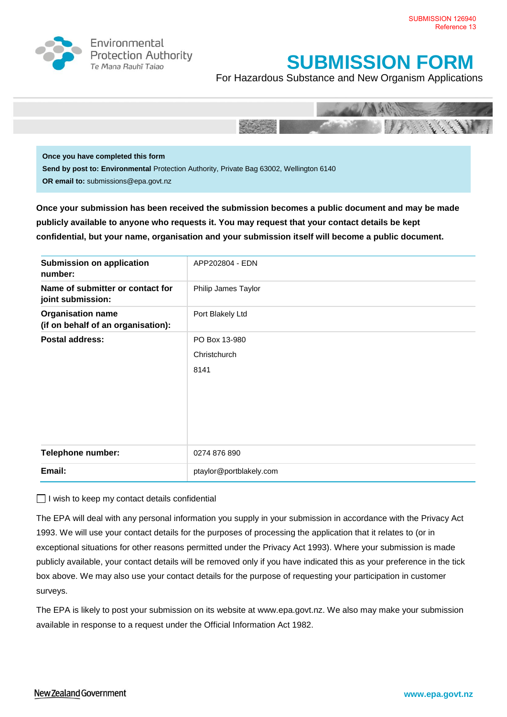

Environmental **Protection Authority** Te Mana Rauhī Tajao

## **SUBMISSION FORM**

For Hazardous Substance and New Organism Applications



**Once you have completed this form Send by post to: Environmental** Protection Authority, Private Bag 63002, Wellington 6140 **OR email to:** submissions@epa.govt.nz

**Once your submission has been received the submission becomes a public document and may be made publicly available to anyone who requests it. You may request that your contact details be kept confidential, but your name, organisation and your submission itself will become a public document.**

| Submission on application<br>number:                           | APP202804 - EDN         |
|----------------------------------------------------------------|-------------------------|
| Name of submitter or contact for<br>joint submission:          | Philip James Taylor     |
| <b>Organisation name</b><br>(if on behalf of an organisation): | Port Blakely Ltd        |
| <b>Postal address:</b>                                         | PO Box 13-980           |
|                                                                | Christchurch            |
|                                                                | 8141                    |
|                                                                |                         |
|                                                                |                         |
|                                                                |                         |
|                                                                |                         |
| <b>Telephone number:</b>                                       | 0274 876 890            |
| Email:                                                         | ptaylor@portblakely.com |

 $\Box$  I wish to keep my contact details confidential

The EPA will deal with any personal information you supply in your submission in accordance with the Privacy Act 1993. We will use your contact details for the purposes of processing the application that it relates to (or in exceptional situations for other reasons permitted under the Privacy Act 1993). Where your submission is made publicly available, your contact details will be removed only if you have indicated this as your preference in the tick box above. We may also use your contact details for the purpose of requesting your participation in customer surveys.

The EPA is likely to post your submission on its website at [www.epa.govt.nz.](http://www.ermanz.govt.nz/) We also may make your submission available in response to a request under the Official Information Act 1982.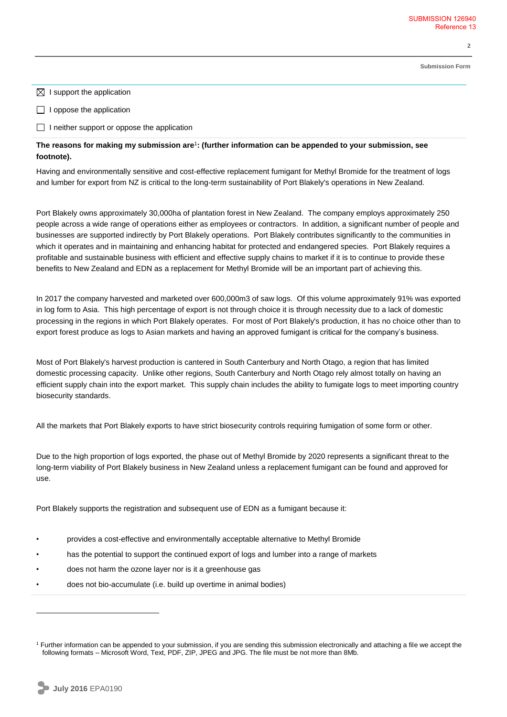**Submission Form**

**2**

 $\boxtimes$  I support the application

 $\Box$  I oppose the application

 $\Box$  I neither support or oppose the application

**The reasons for making my submission are**<sup>1</sup> **: (further information can be appended to your submission, see footnote).**

Having and environmentally sensitive and cost-effective replacement fumigant for Methyl Bromide for the treatment of logs and lumber for export from NZ is critical to the long-term sustainability of Port Blakely's operations in New Zealand.

Port Blakely owns approximately 30,000ha of plantation forest in New Zealand. The company employs approximately 250 people across a wide range of operations either as employees or contractors. In addition, a significant number of people and businesses are supported indirectly by Port Blakely operations. Port Blakely contributes significantly to the communities in which it operates and in maintaining and enhancing habitat for protected and endangered species. Port Blakely requires a profitable and sustainable business with efficient and effective supply chains to market if it is to continue to provide these benefits to New Zealand and EDN as a replacement for Methyl Bromide will be an important part of achieving this.

In 2017 the company harvested and marketed over 600,000m3 of saw logs. Of this volume approximately 91% was exported in log form to Asia. This high percentage of export is not through choice it is through necessity due to a lack of domestic processing in the regions in which Port Blakely operates. For most of Port Blakely's production, it has no choice other than to export forest produce as logs to Asian markets and having an approved fumigant is critical for the company's business.

Most of Port Blakely's harvest production is cantered in South Canterbury and North Otago, a region that has limited domestic processing capacity. Unlike other regions, South Canterbury and North Otago rely almost totally on having an efficient supply chain into the export market. This supply chain includes the ability to fumigate logs to meet importing country biosecurity standards.

All the markets that Port Blakely exports to have strict biosecurity controls requiring fumigation of some form or other.

Due to the high proportion of logs exported, the phase out of Methyl Bromide by 2020 represents a significant threat to the long-term viability of Port Blakely business in New Zealand unless a replacement fumigant can be found and approved for use.

Port Blakely supports the registration and subsequent use of EDN as a fumigant because it:

- provides a cost-effective and environmentally acceptable alternative to Methyl Bromide
- has the potential to support the continued export of logs and lumber into a range of markets
- does not harm the ozone layer nor is it a greenhouse gas
- does not bio-accumulate (i.e. build up overtime in animal bodies)

 $\overline{a}$ 

<sup>1</sup> Further information can be appended to your submission, if you are sending this submission electronically and attaching a file we accept the following formats – Microsoft Word, Text, PDF, ZIP, JPEG and JPG. The file must be not more than 8Mb.